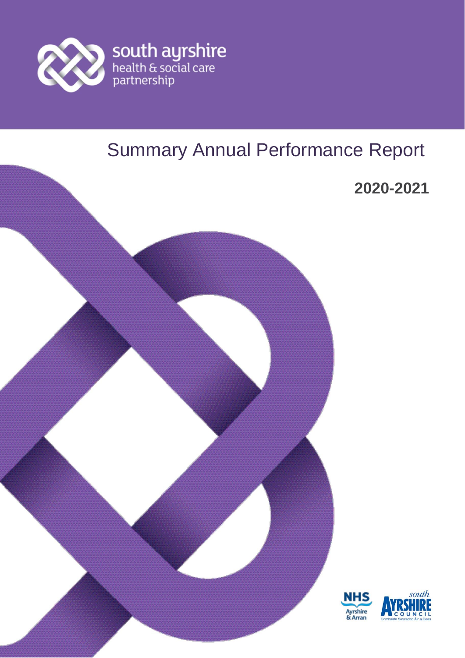

# Summary Annual Performance Report

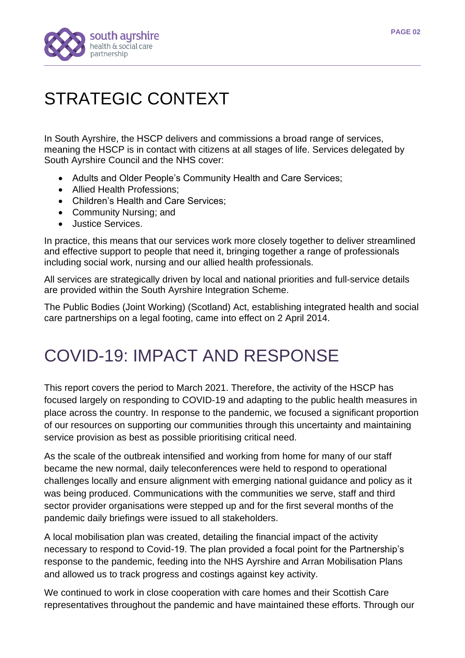

# STRATEGIC CONTEXT

In South Ayrshire, the HSCP delivers and commissions a broad range of services, meaning the HSCP is in contact with citizens at all stages of life. Services delegated by South Ayrshire Council and the NHS cover:

- Adults and Older People's Community Health and Care Services;
- Allied Health Professions:
- Children's Health and Care Services;
- Community Nursing; and
- Justice Services.

In practice, this means that our services work more closely together to deliver streamlined and effective support to people that need it, bringing together a range of professionals including social work, nursing and our allied health professionals.

All services are strategically driven by local and national priorities and full-service details are provided within the South Ayrshire Integration Scheme.

The Public Bodies (Joint Working) (Scotland) Act, establishing integrated health and social care partnerships on a legal footing, came into effect on 2 April 2014.

## COVID-19: IMPACT AND RESPONSE

This report covers the period to March 2021. Therefore, the activity of the HSCP has focused largely on responding to COVID-19 and adapting to the public health measures in place across the country. In response to the pandemic, we focused a significant proportion of our resources on supporting our communities through this uncertainty and maintaining service provision as best as possible prioritising critical need.

As the scale of the outbreak intensified and working from home for many of our staff became the new normal, daily teleconferences were held to respond to operational challenges locally and ensure alignment with emerging national guidance and policy as it was being produced. Communications with the communities we serve, staff and third sector provider organisations were stepped up and for the first several months of the pandemic daily briefings were issued to all stakeholders.

A local mobilisation plan was created, detailing the financial impact of the activity necessary to respond to Covid-19. The plan provided a focal point for the Partnership's response to the pandemic, feeding into the NHS Ayrshire and Arran Mobilisation Plans and allowed us to track progress and costings against key activity.

We continued to work in close cooperation with care homes and their Scottish Care representatives throughout the pandemic and have maintained these efforts. Through our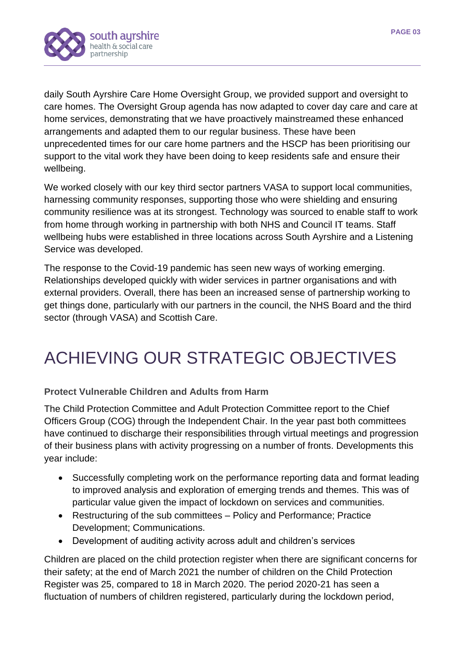

daily South Ayrshire Care Home Oversight Group, we provided support and oversight to care homes. The Oversight Group agenda has now adapted to cover day care and care at home services, demonstrating that we have proactively mainstreamed these enhanced arrangements and adapted them to our regular business. These have been unprecedented times for our care home partners and the HSCP has been prioritising our support to the vital work they have been doing to keep residents safe and ensure their wellbeing.

We worked closely with our key third sector partners VASA to support local communities, harnessing community responses, supporting those who were shielding and ensuring community resilience was at its strongest. Technology was sourced to enable staff to work from home through working in partnership with both NHS and Council IT teams. Staff wellbeing hubs were established in three locations across South Ayrshire and a Listening Service was developed.

The response to the Covid-19 pandemic has seen new ways of working emerging. Relationships developed quickly with wider services in partner organisations and with external providers. Overall, there has been an increased sense of partnership working to get things done, particularly with our partners in the council, the NHS Board and the third sector (through VASA) and Scottish Care.

# ACHIEVING OUR STRATEGIC OBJECTIVES

## **Protect Vulnerable Children and Adults from Harm**

The Child Protection Committee and Adult Protection Committee report to the Chief Officers Group (COG) through the Independent Chair. In the year past both committees have continued to discharge their responsibilities through virtual meetings and progression of their business plans with activity progressing on a number of fronts. Developments this year include:

- Successfully completing work on the performance reporting data and format leading to improved analysis and exploration of emerging trends and themes. This was of particular value given the impact of lockdown on services and communities.
- Restructuring of the sub committees Policy and Performance; Practice Development; Communications.
- Development of auditing activity across adult and children's services

Children are placed on the child protection register when there are significant concerns for their safety; at the end of March 2021 the number of children on the Child Protection Register was 25, compared to 18 in March 2020. The period 2020-21 has seen a fluctuation of numbers of children registered, particularly during the lockdown period,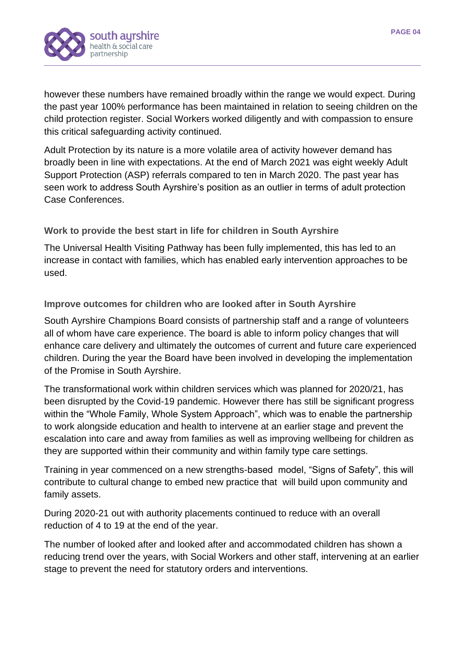

however these numbers have remained broadly within the range we would expect. During the past year 100% performance has been maintained in relation to seeing children on the child protection register. Social Workers worked diligently and with compassion to ensure this critical safeguarding activity continued.

Adult Protection by its nature is a more volatile area of activity however demand has broadly been in line with expectations. At the end of March 2021 was eight weekly Adult Support Protection (ASP) referrals compared to ten in March 2020. The past year has seen work to address South Ayrshire's position as an outlier in terms of adult protection Case Conferences.

**Work to provide the best start in life for children in South Ayrshire**

The Universal Health Visiting Pathway has been fully implemented, this has led to an increase in contact with families, which has enabled early intervention approaches to be used.

**Improve outcomes for children who are looked after in South Ayrshire**

South Ayrshire Champions Board consists of partnership staff and a range of volunteers all of whom have care experience. The board is able to inform policy changes that will enhance care delivery and ultimately the outcomes of current and future care experienced children. During the year the Board have been involved in developing the implementation of the Promise in South Ayrshire.

The transformational work within children services which was planned for 2020/21, has been disrupted by the Covid-19 pandemic. However there has still be significant progress within the "Whole Family, Whole System Approach", which was to enable the partnership to work alongside education and health to intervene at an earlier stage and prevent the escalation into care and away from families as well as improving wellbeing for children as they are supported within their community and within family type care settings.

Training in year commenced on a new strengths-based model, "Signs of Safety", this will contribute to cultural change to embed new practice that will build upon community and family assets.

During 2020-21 out with authority placements continued to reduce with an overall reduction of 4 to 19 at the end of the year.

The number of looked after and looked after and accommodated children has shown a reducing trend over the years, with Social Workers and other staff, intervening at an earlier stage to prevent the need for statutory orders and interventions.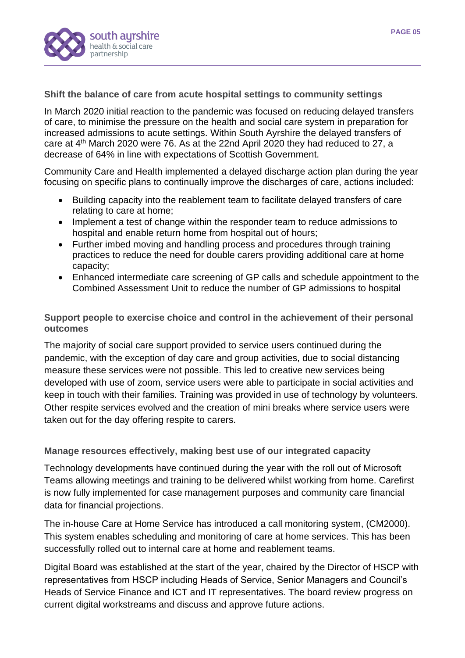

**Shift the balance of care from acute hospital settings to community settings**

In March 2020 initial reaction to the pandemic was focused on reducing delayed transfers of care, to minimise the pressure on the health and social care system in preparation for increased admissions to acute settings. Within South Ayrshire the delayed transfers of care at 4th March 2020 were 76. As at the 22nd April 2020 they had reduced to 27, a decrease of 64% in line with expectations of Scottish Government.

Community Care and Health implemented a delayed discharge action plan during the year focusing on specific plans to continually improve the discharges of care, actions included:

- Building capacity into the reablement team to facilitate delayed transfers of care relating to care at home;
- Implement a test of change within the responder team to reduce admissions to hospital and enable return home from hospital out of hours;
- Further imbed moving and handling process and procedures through training practices to reduce the need for double carers providing additional care at home capacity;
- Enhanced intermediate care screening of GP calls and schedule appointment to the Combined Assessment Unit to reduce the number of GP admissions to hospital

**Support people to exercise choice and control in the achievement of their personal outcomes**

The majority of social care support provided to service users continued during the pandemic, with the exception of day care and group activities, due to social distancing measure these services were not possible. This led to creative new services being developed with use of zoom, service users were able to participate in social activities and keep in touch with their families. Training was provided in use of technology by volunteers. Other respite services evolved and the creation of mini breaks where service users were taken out for the day offering respite to carers.

**Manage resources effectively, making best use of our integrated capacity**

Technology developments have continued during the year with the roll out of Microsoft Teams allowing meetings and training to be delivered whilst working from home. Carefirst is now fully implemented for case management purposes and community care financial data for financial projections.

The in-house Care at Home Service has introduced a call monitoring system, (CM2000). This system enables scheduling and monitoring of care at home services. This has been successfully rolled out to internal care at home and reablement teams.

Digital Board was established at the start of the year, chaired by the Director of HSCP with representatives from HSCP including Heads of Service, Senior Managers and Council's Heads of Service Finance and ICT and IT representatives. The board review progress on current digital workstreams and discuss and approve future actions.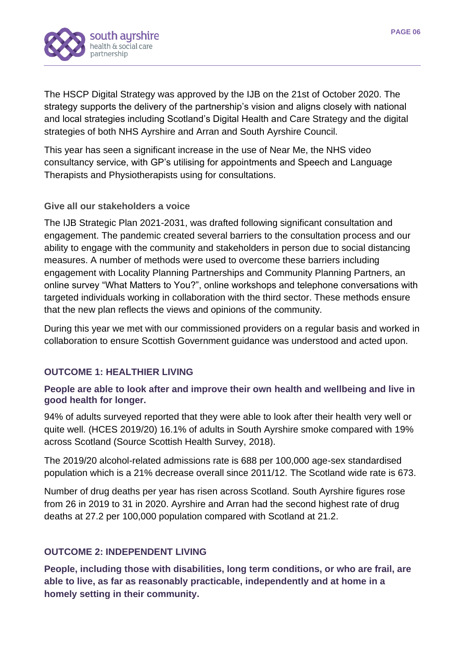

The HSCP Digital Strategy was approved by the IJB on the 21st of October 2020. The strategy supports the delivery of the partnership's vision and aligns closely with national and local strategies including Scotland's Digital Health and Care Strategy and the digital strategies of both NHS Ayrshire and Arran and South Ayrshire Council.

This year has seen a significant increase in the use of Near Me, the NHS video consultancy service, with GP's utilising for appointments and Speech and Language Therapists and Physiotherapists using for consultations.

#### **Give all our stakeholders a voice**

The IJB Strategic Plan 2021-2031, was drafted following significant consultation and engagement. The pandemic created several barriers to the consultation process and our ability to engage with the community and stakeholders in person due to social distancing measures. A number of methods were used to overcome these barriers including engagement with Locality Planning Partnerships and Community Planning Partners, an online survey "What Matters to You?", online workshops and telephone conversations with targeted individuals working in collaboration with the third sector. These methods ensure that the new plan reflects the views and opinions of the community.

During this year we met with our commissioned providers on a regular basis and worked in collaboration to ensure Scottish Government guidance was understood and acted upon.

#### **OUTCOME 1: HEALTHIER LIVING**

#### **People are able to look after and improve their own health and wellbeing and live in good health for longer.**

94% of adults surveyed reported that they were able to look after their health very well or quite well. (HCES 2019/20) 16.1% of adults in South Ayrshire smoke compared with 19% across Scotland (Source Scottish Health Survey, 2018).

The 2019/20 alcohol-related admissions rate is 688 per 100,000 age-sex standardised population which is a 21% decrease overall since 2011/12. The Scotland wide rate is 673.

Number of drug deaths per year has risen across Scotland. South Ayrshire figures rose from 26 in 2019 to 31 in 2020. Ayrshire and Arran had the second highest rate of drug deaths at 27.2 per 100,000 population compared with Scotland at 21.2.

### **OUTCOME 2: INDEPENDENT LIVING**

**People, including those with disabilities, long term conditions, or who are frail, are able to live, as far as reasonably practicable, independently and at home in a homely setting in their community.**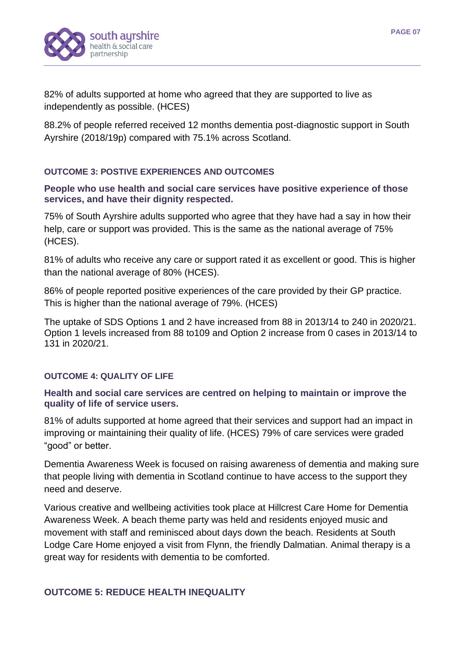

82% of adults supported at home who agreed that they are supported to live as independently as possible. (HCES)

88.2% of people referred received 12 months dementia post-diagnostic support in South Ayrshire (2018/19p) compared with 75.1% across Scotland.

#### **OUTCOME 3: POSTIVE EXPERIENCES AND OUTCOMES**

### **People who use health and social care services have positive experience of those services, and have their dignity respected.**

75% of South Ayrshire adults supported who agree that they have had a say in how their help, care or support was provided. This is the same as the national average of 75% (HCES).

81% of adults who receive any care or support rated it as excellent or good. This is higher than the national average of 80% (HCES).

86% of people reported positive experiences of the care provided by their GP practice. This is higher than the national average of 79%. (HCES)

The uptake of SDS Options 1 and 2 have increased from 88 in 2013/14 to 240 in 2020/21. Option 1 levels increased from 88 to109 and Option 2 increase from 0 cases in 2013/14 to 131 in 2020/21.

#### **OUTCOME 4: QUALITY OF LIFE**

## **Health and social care services are centred on helping to maintain or improve the quality of life of service users.**

81% of adults supported at home agreed that their services and support had an impact in improving or maintaining their quality of life. (HCES) 79% of care services were graded "good" or better.

Dementia Awareness Week is focused on raising awareness of dementia and making sure that people living with dementia in Scotland continue to have access to the support they need and deserve.

Various creative and wellbeing activities took place at Hillcrest Care Home for Dementia Awareness Week. A beach theme party was held and residents enjoyed music and movement with staff and reminisced about days down the beach. Residents at South Lodge Care Home enjoyed a visit from Flynn, the friendly Dalmatian. Animal therapy is a great way for residents with dementia to be comforted.

#### **OUTCOME 5: REDUCE HEALTH INEQUALITY**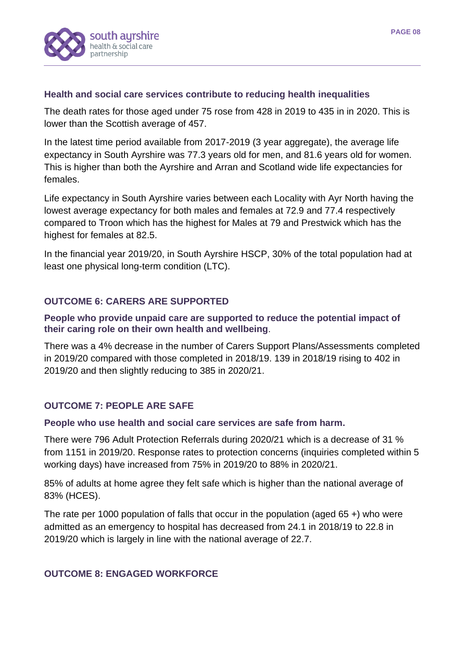

#### **Health and social care services contribute to reducing health inequalities**

The death rates for those aged under 75 rose from 428 in 2019 to 435 in in 2020. This is lower than the Scottish average of 457.

In the latest time period available from 2017-2019 (3 year aggregate), the average life expectancy in South Ayrshire was 77.3 years old for men, and 81.6 years old for women. This is higher than both the Ayrshire and Arran and Scotland wide life expectancies for females.

Life expectancy in South Ayrshire varies between each Locality with Ayr North having the lowest average expectancy for both males and females at 72.9 and 77.4 respectively compared to Troon which has the highest for Males at 79 and Prestwick which has the highest for females at 82.5.

In the financial year 2019/20, in South Ayrshire HSCP, 30% of the total population had at least one physical long-term condition (LTC).

## **OUTCOME 6: CARERS ARE SUPPORTED**

#### **People who provide unpaid care are supported to reduce the potential impact of their caring role on their own health and wellbeing**.

There was a 4% decrease in the number of Carers Support Plans/Assessments completed in 2019/20 compared with those completed in 2018/19. 139 in 2018/19 rising to 402 in 2019/20 and then slightly reducing to 385 in 2020/21.

#### **OUTCOME 7: PEOPLE ARE SAFE**

#### **People who use health and social care services are safe from harm.**

There were 796 Adult Protection Referrals during 2020/21 which is a decrease of 31 % from 1151 in 2019/20. Response rates to protection concerns (inquiries completed within 5 working days) have increased from 75% in 2019/20 to 88% in 2020/21.

85% of adults at home agree they felt safe which is higher than the national average of 83% (HCES).

The rate per 1000 population of falls that occur in the population (aged 65 +) who were admitted as an emergency to hospital has decreased from 24.1 in 2018/19 to 22.8 in 2019/20 which is largely in line with the national average of 22.7.

#### **OUTCOME 8: ENGAGED WORKFORCE**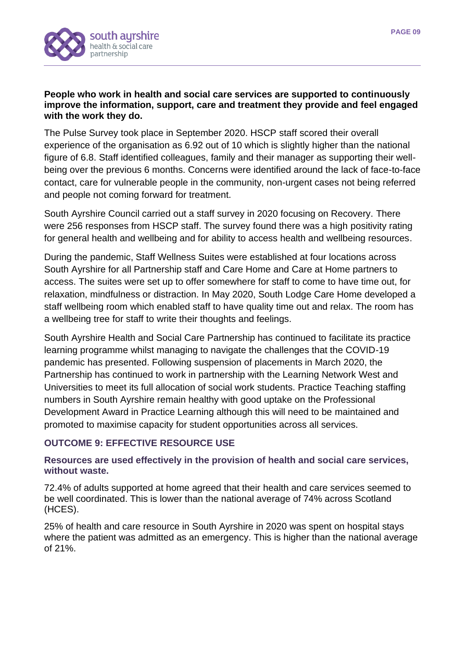

#### **People who work in health and social care services are supported to continuously improve the information, support, care and treatment they provide and feel engaged with the work they do.**

The Pulse Survey took place in September 2020. HSCP staff scored their overall experience of the organisation as 6.92 out of 10 which is slightly higher than the national figure of 6.8. Staff identified colleagues, family and their manager as supporting their wellbeing over the previous 6 months. Concerns were identified around the lack of face-to-face contact, care for vulnerable people in the community, non-urgent cases not being referred and people not coming forward for treatment.

South Ayrshire Council carried out a staff survey in 2020 focusing on Recovery. There were 256 responses from HSCP staff. The survey found there was a high positivity rating for general health and wellbeing and for ability to access health and wellbeing resources.

During the pandemic, Staff Wellness Suites were established at four locations across South Ayrshire for all Partnership staff and Care Home and Care at Home partners to access. The suites were set up to offer somewhere for staff to come to have time out, for relaxation, mindfulness or distraction. In May 2020, South Lodge Care Home developed a staff wellbeing room which enabled staff to have quality time out and relax. The room has a wellbeing tree for staff to write their thoughts and feelings.

South Ayrshire Health and Social Care Partnership has continued to facilitate its practice learning programme whilst managing to navigate the challenges that the COVID-19 pandemic has presented. Following suspension of placements in March 2020, the Partnership has continued to work in partnership with the Learning Network West and Universities to meet its full allocation of social work students. Practice Teaching staffing numbers in South Ayrshire remain healthy with good uptake on the Professional Development Award in Practice Learning although this will need to be maintained and promoted to maximise capacity for student opportunities across all services.

## **OUTCOME 9: EFFECTIVE RESOURCE USE**

#### **Resources are used effectively in the provision of health and social care services, without waste.**

72.4% of adults supported at home agreed that their health and care services seemed to be well coordinated. This is lower than the national average of 74% across Scotland (HCES).

25% of health and care resource in South Ayrshire in 2020 was spent on hospital stays where the patient was admitted as an emergency. This is higher than the national average of 21%.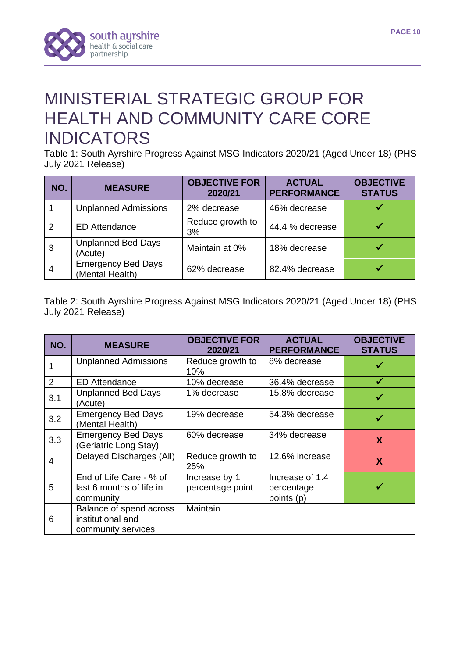



## MINISTERIAL STRATEGIC GROUP FOR HEALTH AND COMMUNITY CARE CORE INDICATORS

Table 1: South Ayrshire Progress Against MSG Indicators 2020/21 (Aged Under 18) (PHS July 2021 Release)

| NO.            | <b>MEASURE</b>                               | <b>OBJECTIVE FOR</b><br>2020/21 | <b>ACTUAL</b><br><b>PERFORMANCE</b> | <b>OBJECTIVE</b><br><b>STATUS</b> |
|----------------|----------------------------------------------|---------------------------------|-------------------------------------|-----------------------------------|
|                | <b>Unplanned Admissions</b>                  | 2% decrease                     | 46% decrease                        |                                   |
| $\overline{2}$ | <b>ED Attendance</b>                         | Reduce growth to<br>3%          | 44.4 % decrease                     |                                   |
|                | <b>Unplanned Bed Days</b><br>(Acute)         | Maintain at 0%                  | 18% decrease                        |                                   |
| 4              | <b>Emergency Bed Days</b><br>(Mental Health) | 62% decrease                    | 82.4% decrease                      |                                   |

Table 2: South Ayrshire Progress Against MSG Indicators 2020/21 (Aged Under 18) (PHS July 2021 Release)

| NO.            | <b>MEASURE</b>                                                     | <b>OBJECTIVE FOR</b><br>2020/21   | <b>ACTUAL</b><br><b>PERFORMANCE</b>         | <b>OBJECTIVE</b><br><b>STATUS</b> |
|----------------|--------------------------------------------------------------------|-----------------------------------|---------------------------------------------|-----------------------------------|
|                | <b>Unplanned Admissions</b>                                        | Reduce growth to<br>10%           | 8% decrease                                 |                                   |
| $\overline{2}$ | <b>ED Attendance</b>                                               | 10% decrease                      | 36.4% decrease                              |                                   |
| 3.1            | <b>Unplanned Bed Days</b><br>(Acute)                               | 1% decrease                       | 15.8% decrease                              |                                   |
| 3.2            | <b>Emergency Bed Days</b><br>(Mental Health)                       | 19% decrease                      | 54.3% decrease                              | ✔                                 |
| 3.3            | <b>Emergency Bed Days</b><br>(Geriatric Long Stay)                 | 60% decrease                      | 34% decrease                                | $\mathbf{X}$                      |
| 4              | Delayed Discharges (All)                                           | Reduce growth to<br>25%           | 12.6% increase                              | X                                 |
| 5              | End of Life Care - % of<br>last 6 months of life in<br>community   | Increase by 1<br>percentage point | Increase of 1.4<br>percentage<br>points (p) |                                   |
| 6              | Balance of spend across<br>institutional and<br>community services | Maintain                          |                                             |                                   |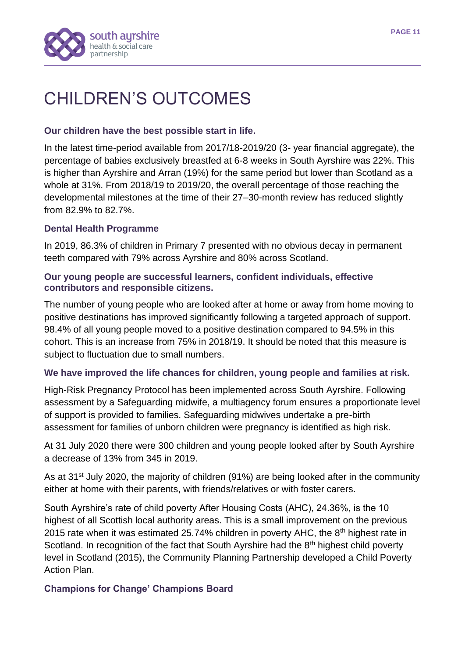

## CHILDREN'S OUTCOMES

## **Our children have the best possible start in life.**

In the latest time-period available from 2017/18-2019/20 (3- year financial aggregate), the percentage of babies exclusively breastfed at 6-8 weeks in South Ayrshire was 22%. This is higher than Ayrshire and Arran (19%) for the same period but lower than Scotland as a whole at 31%. From 2018/19 to 2019/20, the overall percentage of those reaching the developmental milestones at the time of their 27–30-month review has reduced slightly from 82.9% to 82.7%.

## **Dental Health Programme**

In 2019, 86.3% of children in Primary 7 presented with no obvious decay in permanent teeth compared with 79% across Ayrshire and 80% across Scotland.

### **Our young people are successful learners, confident individuals, effective contributors and responsible citizens.**

The number of young people who are looked after at home or away from home moving to positive destinations has improved significantly following a targeted approach of support. 98.4% of all young people moved to a positive destination compared to 94.5% in this cohort. This is an increase from 75% in 2018/19. It should be noted that this measure is subject to fluctuation due to small numbers.

## **We have improved the life chances for children, young people and families at risk.**

High-Risk Pregnancy Protocol has been implemented across South Ayrshire. Following assessment by a Safeguarding midwife, a multiagency forum ensures a proportionate level of support is provided to families. Safeguarding midwives undertake a pre-birth assessment for families of unborn children were pregnancy is identified as high risk.

At 31 July 2020 there were 300 children and young people looked after by South Ayrshire a decrease of 13% from 345 in 2019.

As at 31<sup>st</sup> July 2020, the majority of children (91%) are being looked after in the community either at home with their parents, with friends/relatives or with foster carers.

South Ayrshire's rate of child poverty After Housing Costs (AHC), 24.36%, is the 10 highest of all Scottish local authority areas. This is a small improvement on the previous 2015 rate when it was estimated 25.74% children in poverty AHC, the  $8<sup>th</sup>$  highest rate in Scotland. In recognition of the fact that South Ayrshire had the 8<sup>th</sup> highest child poverty level in Scotland (2015), the Community Planning Partnership developed a Child Poverty Action Plan.

## **Champions for Change' Champions Board**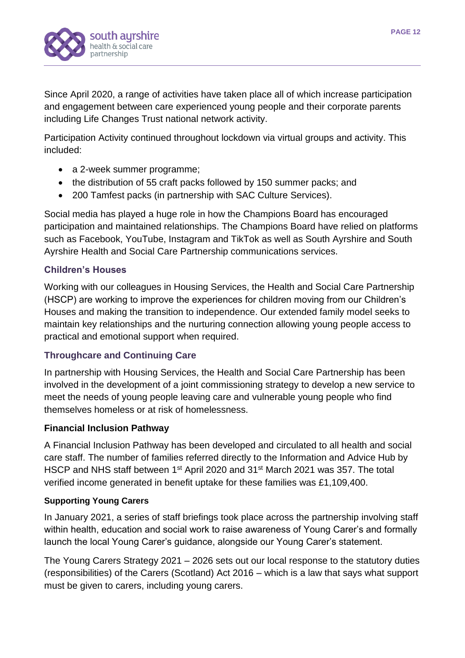

Since April 2020, a range of activities have taken place all of which increase participation and engagement between care experienced young people and their corporate parents including Life Changes Trust national network activity.

Participation Activity continued throughout lockdown via virtual groups and activity. This included:

- a 2-week summer programme;
- the distribution of 55 craft packs followed by 150 summer packs; and
- 200 Tamfest packs (in partnership with SAC Culture Services).

Social media has played a huge role in how the Champions Board has encouraged participation and maintained relationships. The Champions Board have relied on platforms such as Facebook, YouTube, Instagram and TikTok as well as South Ayrshire and South Ayrshire Health and Social Care Partnership communications services.

## **Children's Houses**

Working with our colleagues in Housing Services, the Health and Social Care Partnership (HSCP) are working to improve the experiences for children moving from our Children's Houses and making the transition to independence. Our extended family model seeks to maintain key relationships and the nurturing connection allowing young people access to practical and emotional support when required.

## **Throughcare and Continuing Care**

In partnership with Housing Services, the Health and Social Care Partnership has been involved in the development of a joint commissioning strategy to develop a new service to meet the needs of young people leaving care and vulnerable young people who find themselves homeless or at risk of homelessness.

## **Financial Inclusion Pathway**

A Financial Inclusion Pathway has been developed and circulated to all health and social care staff. The number of families referred directly to the Information and Advice Hub by HSCP and NHS staff between 1<sup>st</sup> April 2020 and 31<sup>st</sup> March 2021 was 357. The total verified income generated in benefit uptake for these families was £1,109,400.

#### **Supporting Young Carers**

In January 2021, a series of staff briefings took place across the partnership involving staff within health, education and social work to raise awareness of Young Carer's and formally launch the local Young Carer's guidance, alongside our Young Carer's statement.

The Young Carers Strategy 2021 – 2026 sets out our local response to the statutory duties (responsibilities) of the Carers (Scotland) Act 2016 – which is a law that says what support must be given to carers, including young carers.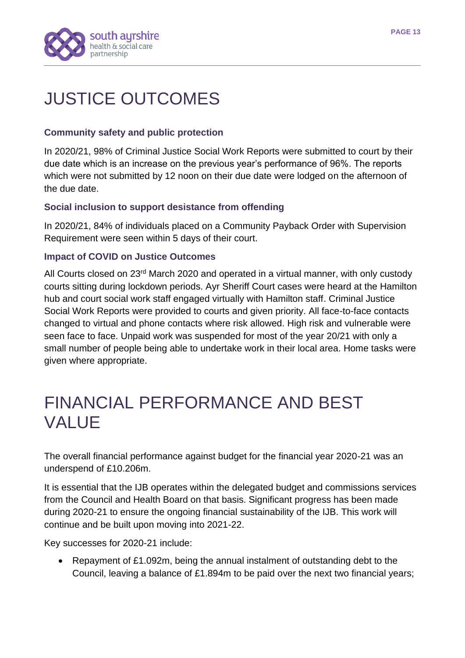

# JUSTICE OUTCOMES

## **Community safety and public protection**

In 2020/21, 98% of Criminal Justice Social Work Reports were submitted to court by their due date which is an increase on the previous year's performance of 96%. The reports which were not submitted by 12 noon on their due date were lodged on the afternoon of the due date.

## **Social inclusion to support desistance from offending**

In 2020/21, 84% of individuals placed on a Community Payback Order with Supervision Requirement were seen within 5 days of their court.

## **Impact of COVID on Justice Outcomes**

All Courts closed on 23<sup>rd</sup> March 2020 and operated in a virtual manner, with only custody courts sitting during lockdown periods. Ayr Sheriff Court cases were heard at the Hamilton hub and court social work staff engaged virtually with Hamilton staff. Criminal Justice Social Work Reports were provided to courts and given priority. All face-to-face contacts changed to virtual and phone contacts where risk allowed. High risk and vulnerable were seen face to face. Unpaid work was suspended for most of the year 20/21 with only a small number of people being able to undertake work in their local area. Home tasks were given where appropriate.

## FINANCIAL PERFORMANCE AND BEST VALUE

The overall financial performance against budget for the financial year 2020-21 was an underspend of £10.206m.

It is essential that the IJB operates within the delegated budget and commissions services from the Council and Health Board on that basis. Significant progress has been made during 2020-21 to ensure the ongoing financial sustainability of the IJB. This work will continue and be built upon moving into 2021-22.

Key successes for 2020-21 include:

• Repayment of £1.092m, being the annual instalment of outstanding debt to the Council, leaving a balance of £1.894m to be paid over the next two financial years;